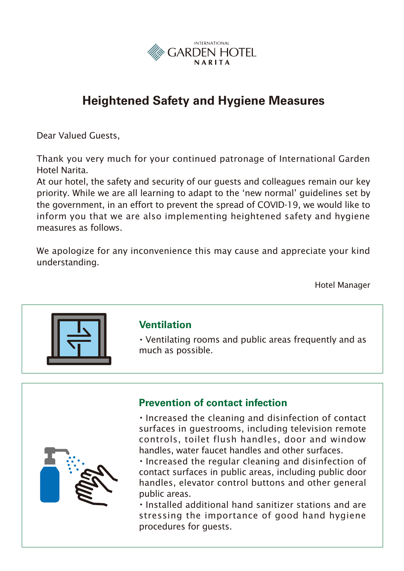

# **Heightened Safety and Hygiene Measures**

Dear Valued Guests,

Thank you very much for your continued patronage of International Garden Hotel Narita.

At our hotel, the safety and security of our guests and colleagues remain our key priority. While we are all learning to adapt to the 'new normal' guidelines set by the government, in an effort to prevent the spread of COVID-19, we would like to inform you that we are also implementing heightened safety and hygiene measures as follows.

We apologize for any inconvenience this may cause and appreciate your kind understanding.

Hotel Manager



### **Ventilation**

・Ventilating rooms and public areas frequently and as much as possible.



## **Prevention of contact infection**

・Increased the cleaning and disinfection of contact surfaces in guestrooms, including television remote controls, toilet flush handles, door and window handles, water faucet handles and other surfaces.

・Increased the regular cleaning and disinfection of contact surfaces in public areas, including public door handles, elevator control buttons and other general public areas.

・Installed additional hand sanitizer stations and are stressing the importance of good hand hygiene procedures for guests.